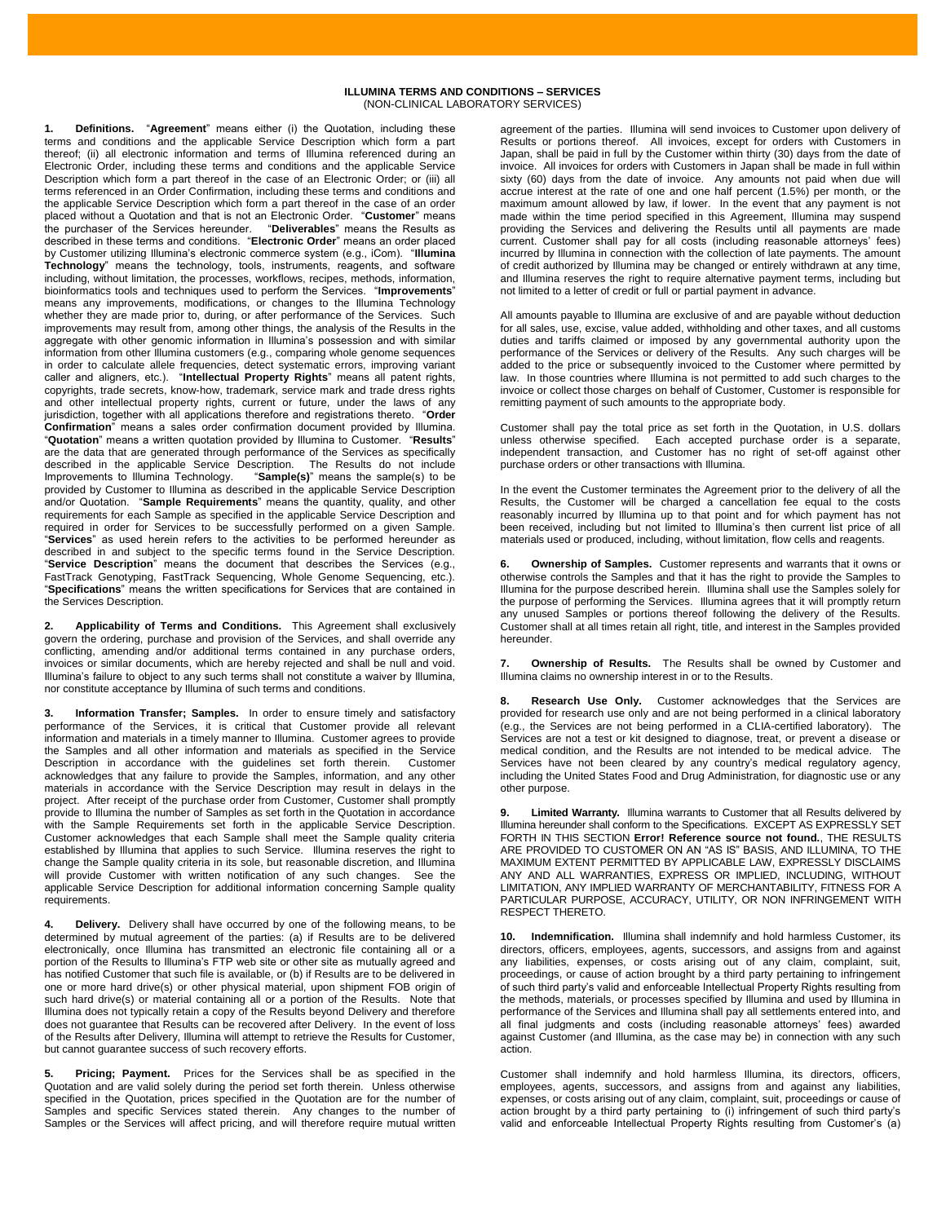## **ILLUMINA TERMS AND CONDITIONS – SERVICES** (NON-CLINICAL LABORATORY SERVICES)

**1. Definitions.** "**Agreement**" means either (i) the Quotation, including these terms and conditions and the applicable Service Description which form a part thereof; (ii) all electronic information and terms of Illumina referenced during an Electronic Order, including these terms and conditions and the applicable Service Description which form a part thereof in the case of an Electronic Order; or (iii) all terms referenced in an Order Confirmation, including these terms and conditions and the applicable Service Description which form a part thereof in the case of an order placed without a Quotation and that is not an Electronic Order. "**Customer**" means the purchaser of the Services hereunder. "**Deliverables**" means the Results as described in these terms and conditions. "**Electronic Order**" means an order placed by Customer utilizing Illumina's electronic commerce system (e.g., iCom). "**Illumina Technology**" means the technology, tools, instruments, reagents, and software including, without limitation, the processes, workflows, recipes, methods, information, bioinformatics tools and techniques used to perform the Services. "**Improvements**" means any improvements, modifications, or changes to the Illumina Technology whether they are made prior to, during, or after performance of the Services. Such improvements may result from, among other things, the analysis of the Results in the aggregate with other genomic information in Illumina's possession and with similar information from other Illumina customers (e.g., comparing whole genome sequences in order to calculate allele frequencies, detect systematic errors, improving variant caller and aligners, etc.). "**Intellectual Property Rights**" means all patent rights, copyrights, trade secrets, know-how, trademark, service mark and trade dress rights and other intellectual property rights, current or future, under the laws of any jurisdiction, together with all applications therefore and registrations thereto. "**Order Confirmation**" means a sales order confirmation document provided by Illumina. "**Quotation**" means a written quotation provided by Illumina to Customer. "**Results**" are the data that are generated through performance of the Services as specifically described in the applicable Service Description. The Results do not include described in the applicable Service Description.<br>Improvements to Illumina Technology. "Sample(s Improvements to Illumina Technology. "**Sample(s)**" means the sample(s) to be provided by Customer to Illumina as described in the applicable Service Description and/or Quotation. "**Sample Requirements**" means the quantity, quality, and other requirements for each Sample as specified in the applicable Service Description and required in order for Services to be successfully performed on a given Sample. "**Services**" as used herein refers to the activities to be performed hereunder as described in and subject to the specific terms found in the Service Description. "**Service Description**" means the document that describes the Services (e.g., FastTrack Genotyping, FastTrack Sequencing, Whole Genome Sequencing, etc.). "**Specifications**" means the written specifications for Services that are contained in the Services Description.

**2. Applicability of Terms and Conditions.** This Agreement shall exclusively govern the ordering, purchase and provision of the Services, and shall override any conflicting, amending and/or additional terms contained in any purchase orders, invoices or similar documents, which are hereby rejected and shall be null and void. Illumina's failure to object to any such terms shall not constitute a waiver by Illumina, nor constitute acceptance by Illumina of such terms and conditions.

**3. Information Transfer; Samples.** In order to ensure timely and satisfactory performance of the Services, it is critical that Customer provide all relevant information and materials in a timely manner to Illumina. Customer agrees to provide the Samples and all other information and materials as specified in the Service<br>Description in accordance with the quidelines set forth therein Customer Description in accordance with the quidelines set forth therein. acknowledges that any failure to provide the Samples, information, and any other materials in accordance with the Service Description may result in delays in the project. After receipt of the purchase order from Customer, Customer shall promptly provide to Illumina the number of Samples as set forth in the Quotation in accordance with the Sample Requirements set forth in the applicable Service Description. Customer acknowledges that each Sample shall meet the Sample quality criteria established by Illumina that applies to such Service. Illumina reserves the right to change the Sample quality criteria in its sole, but reasonable discretion, and Illumina will provide Customer with written notification of any such changes. See the applicable Service Description for additional information concerning Sample quality requirements.

**4. Delivery.** Delivery shall have occurred by one of the following means, to be determined by mutual agreement of the parties: (a) if Results are to be delivered electronically, once Illumina has transmitted an electronic file containing all or a portion of the Results to Illumina's FTP web site or other site as mutually agreed and has notified Customer that such file is available, or (b) if Results are to be delivered in one or more hard drive(s) or other physical material, upon shipment FOB origin of such hard drive(s) or material containing all or a portion of the Results. Note that Illumina does not typically retain a copy of the Results beyond Delivery and therefore does not guarantee that Results can be recovered after Delivery. In the event of loss of the Results after Delivery, Illumina will attempt to retrieve the Results for Customer, but cannot guarantee success of such recovery efforts.

**5. Pricing; Payment.** Prices for the Services shall be as specified in the Quotation and are valid solely during the period set forth therein. Unless otherwise specified in the Quotation, prices specified in the Quotation are for the number of Samples and specific Services stated therein. Any changes to the number of Samples or the Services will affect pricing, and will therefore require mutual written agreement of the parties. Illumina will send invoices to Customer upon delivery of Results or portions thereof. All invoices, except for orders with Customers in Japan, shall be paid in full by the Customer within thirty (30) days from the date of invoice. All invoices for orders with Customers in Japan shall be made in full within sixty (60) days from the date of invoice. Any amounts not paid when due will accrue interest at the rate of one and one half percent (1.5%) per month, or the maximum amount allowed by law, if lower. In the event that any payment is not made within the time period specified in this Agreement, Illumina may suspend providing the Services and delivering the Results until all payments are made current. Customer shall pay for all costs (including reasonable attorneys' fees) incurred by Illumina in connection with the collection of late payments. The amount of credit authorized by Illumina may be changed or entirely withdrawn at any time, and Illumina reserves the right to require alternative payment terms, including but not limited to a letter of credit or full or partial payment in advance.

All amounts payable to Illumina are exclusive of and are payable without deduction for all sales, use, excise, value added, withholding and other taxes, and all customs duties and tariffs claimed or imposed by any governmental authority upon the performance of the Services or delivery of the Results. Any such charges will be added to the price or subsequently invoiced to the Customer where permitted by law. In those countries where Illumina is not permitted to add such charges to the invoice or collect those charges on behalf of Customer, Customer is responsible for remitting payment of such amounts to the appropriate body.

Customer shall pay the total price as set forth in the Quotation, in U.S. dollars unless otherwise specified. Each accepted purchase order is a separate, independent transaction, and Customer has no right of set-off against other purchase orders or other transactions with Illumina.

In the event the Customer terminates the Agreement prior to the delivery of all the Results, the Customer will be charged a cancellation fee equal to the costs reasonably incurred by Illumina up to that point and for which payment has not been received, including but not limited to Illumina's then current list price of all materials used or produced, including, without limitation, flow cells and reagents.

**6. Ownership of Samples.** Customer represents and warrants that it owns or otherwise controls the Samples and that it has the right to provide the Samples to Illumina for the purpose described herein. Illumina shall use the Samples solely for the purpose of performing the Services. Illumina agrees that it will promptly return any unused Samples or portions thereof following the delivery of the Results. Customer shall at all times retain all right, title, and interest in the Samples provided hereunder.

**7. Ownership of Results.** The Results shall be owned by Customer and Illumina claims no ownership interest in or to the Results.

**8. Research Use Only.** Customer acknowledges that the Services are provided for research use only and are not being performed in a clinical laboratory (e.g., the Services are not being performed in a CLIA-certified laboratory). The Services are not a test or kit designed to diagnose, treat, or prevent a disease or medical condition, and the Results are not intended to be medical advice. The Services have not been cleared by any country's medical regulatory agency, including the United States Food and Drug Administration, for diagnostic use or any other purpose.

**9. Limited Warranty.** Illumina warrants to Customer that all Results delivered by Illumina hereunder shall conform to the Specifications. EXCEPT AS EXPRESSLY SET FORTH IN THIS SECTION **Error! Reference source not found.**, THE RESULTS ARE PROVIDED TO CUSTOMER ON AN "AS IS" BASIS, AND ILLUMINA, TO THE MAXIMUM EXTENT PERMITTED BY APPLICABLE LAW, EXPRESSLY DISCLAIMS ANY AND ALL WARRANTIES, EXPRESS OR IMPLIED, INCLUDING, WITHOUT LIMITATION, ANY IMPLIED WARRANTY OF MERCHANTABILITY, FITNESS FOR A PARTICULAR PURPOSE, ACCURACY, UTILITY, OR NON INFRINGEMENT WITH RESPECT THERETO.

**10. Indemnification.** Illumina shall indemnify and hold harmless Customer, its directors, officers, employees, agents, successors, and assigns from and against any liabilities, expenses, or costs arising out of any claim, complaint, suit, proceedings, or cause of action brought by a third party pertaining to infringement of such third party's valid and enforceable Intellectual Property Rights resulting from the methods, materials, or processes specified by Illumina and used by Illumina in performance of the Services and Illumina shall pay all settlements entered into, and all final judgments and costs (including reasonable attorneys' fees) awarded against Customer (and Illumina, as the case may be) in connection with any such action.

Customer shall indemnify and hold harmless Illumina, its directors, officers, employees, agents, successors, and assigns from and against any liabilities, expenses, or costs arising out of any claim, complaint, suit, proceedings or cause of action brought by a third party pertaining to (i) infringement of such third party's valid and enforceable Intellectual Property Rights resulting from Customer's (a)